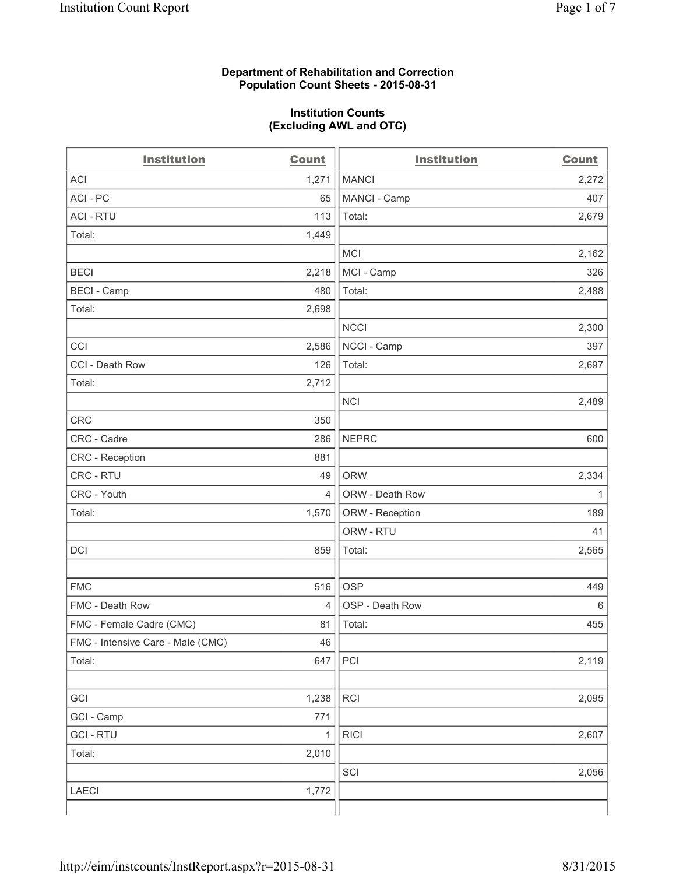#### **Department of Rehabilitation and Correction Population Count Sheets - 2015-08-31**

#### **Institution Counts (Excluding AWL and OTC)**

| <b>Institution</b>                | <b>Count</b>   | <b>Institution</b> | <b>Count</b> |
|-----------------------------------|----------------|--------------------|--------------|
| <b>ACI</b>                        | 1,271          | <b>MANCI</b>       | 2,272        |
| ACI-PC                            | 65             | MANCI - Camp       | 407          |
| <b>ACI - RTU</b>                  | 113            | Total:             | 2,679        |
| Total:                            | 1,449          |                    |              |
|                                   |                | <b>MCI</b>         | 2,162        |
| <b>BECI</b>                       | 2,218          | MCI - Camp         | 326          |
| <b>BECI - Camp</b>                | 480            | Total:             | 2,488        |
| Total:                            | 2,698          |                    |              |
|                                   |                | <b>NCCI</b>        | 2,300        |
| CCI                               | 2,586          | NCCI - Camp        | 397          |
| CCI - Death Row                   | 126            | Total:             | 2,697        |
| Total:                            | 2,712          |                    |              |
|                                   |                | <b>NCI</b>         | 2,489        |
| <b>CRC</b>                        | 350            |                    |              |
| CRC - Cadre                       | 286            | <b>NEPRC</b>       | 600          |
| CRC - Reception                   | 881            |                    |              |
| CRC - RTU                         | 49             | <b>ORW</b>         | 2,334        |
| CRC - Youth                       | 4              | ORW - Death Row    | 1            |
| Total:                            | 1,570          | ORW - Reception    | 189          |
|                                   |                | ORW - RTU          | 41           |
| DCI                               | 859            | Total:             | 2,565        |
|                                   |                |                    |              |
| <b>FMC</b>                        | 516            | <b>OSP</b>         | 449          |
| FMC - Death Row                   | $\overline{4}$ | OSP - Death Row    | 6            |
| FMC - Female Cadre (CMC)          | 81             | Total:             | 455          |
| FMC - Intensive Care - Male (CMC) | 46             |                    |              |
| Total:                            | 647            | PCI                | 2,119        |
|                                   |                |                    |              |
| GCI                               | 1,238          | RCI                | 2,095        |
| GCI - Camp                        | 771            |                    |              |
| <b>GCI-RTU</b>                    | 1              | <b>RICI</b>        | 2,607        |
| Total:                            | 2,010          |                    |              |
|                                   |                | SCI                | 2,056        |
| LAECI                             | 1,772          |                    |              |
|                                   |                |                    |              |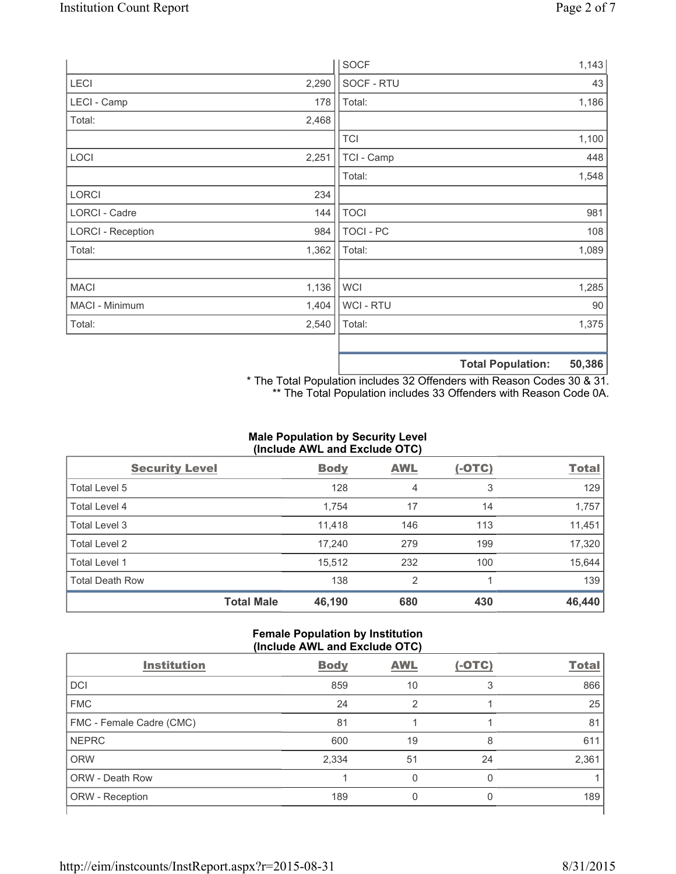|                          |       | <b>SOCF</b>      | 1,143                       |
|--------------------------|-------|------------------|-----------------------------|
| <b>LECI</b>              | 2,290 | SOCF - RTU       | 43                          |
| LECI - Camp              | 178   | Total:           | 1,186                       |
| Total:                   | 2,468 |                  |                             |
|                          |       | <b>TCI</b>       | 1,100                       |
| LOCI                     | 2,251 | TCI - Camp       | 448                         |
|                          |       | Total:           | 1,548                       |
| <b>LORCI</b>             | 234   |                  |                             |
| LORCI - Cadre            | 144   | <b>TOCI</b>      | 981                         |
| <b>LORCI - Reception</b> | 984   | <b>TOCI - PC</b> | 108                         |
| Total:                   | 1,362 | Total:           | 1,089                       |
|                          |       |                  |                             |
| <b>MACI</b>              | 1,136 | WCI              | 1,285                       |
| MACI - Minimum           | 1,404 | WCI - RTU        | 90                          |
| Total:                   | 2,540 | Total:           | 1,375                       |
|                          |       |                  |                             |
|                          |       |                  | EN 20C<br>Total Dopulations |

**Total Population: 50,386**

\* The Total Population includes 32 Offenders with Reason Codes 30 & 31. \*\* The Total Population includes 33 Offenders with Reason Code 0A.

### **Male Population by Security Level (Include AWL and Exclude OTC)**

| <b>Security Level</b>  |                   | <b>Body</b> | <b>AWL</b> | $(-OTC)$ | <b>Total</b> |
|------------------------|-------------------|-------------|------------|----------|--------------|
| Total Level 5          |                   | 128         | 4          | 3        | 129          |
| <b>Total Level 4</b>   |                   | 1,754       | 17         | 14       | 1,757        |
| Total Level 3          |                   | 11,418      | 146        | 113      | 11,451       |
| Total Level 2          |                   | 17,240      | 279        | 199      | 17,320       |
| <b>Total Level 1</b>   |                   | 15,512      | 232        | 100      | 15,644       |
| <b>Total Death Row</b> |                   | 138         | 2          |          | 139          |
|                        | <b>Total Male</b> | 46,190      | 680        | 430      | 46,440       |

#### **Female Population by Institution (Include AWL and Exclude OTC)**

| <b>Institution</b>       | <b>Body</b> | <b>AWL</b> | $(-OTC)$ | <b>Total</b> |
|--------------------------|-------------|------------|----------|--------------|
|                          |             |            |          |              |
| <b>DCI</b>               | 859         | 10         | 3        | 866          |
| <b>FMC</b>               | 24          | 2          |          | 25           |
| FMC - Female Cadre (CMC) | 81          |            |          | 81           |
| <b>NEPRC</b>             | 600         | 19         | 8        | 611          |
| <b>ORW</b>               | 2,334       | 51         | 24       | 2,361        |
| <b>ORW - Death Row</b>   |             | 0          | 0        |              |
| ORW - Reception          | 189         |            | 0        | 189          |
|                          |             |            |          |              |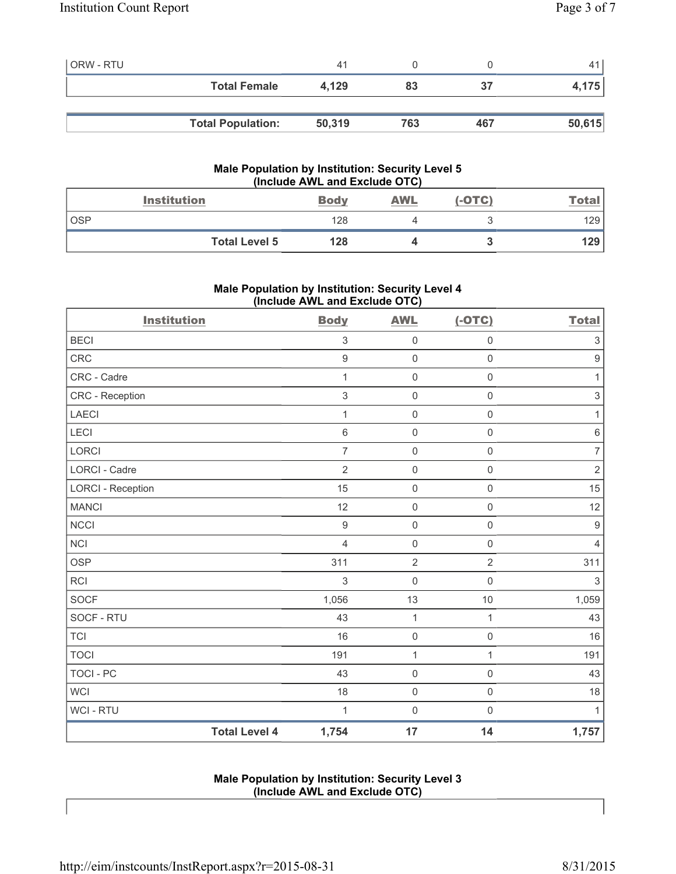| <b>ORW - RTU</b> |                          | 41     |     |     |        |
|------------------|--------------------------|--------|-----|-----|--------|
|                  | <b>Total Female</b>      | 4.129  | 83  | 37  | 4,175  |
|                  |                          |        |     |     |        |
|                  | <b>Total Population:</b> | 50,319 | 763 | 467 | 50,615 |

### **Male Population by Institution: Security Level 5 (Include AWL and Exclude OTC)**

|            | <b>Institution</b>   | <b>Body</b> | AWL | $(-OTC)$ | <u>Total</u> |
|------------|----------------------|-------------|-----|----------|--------------|
| <b>OSP</b> |                      | 128         |     |          | 129          |
|            | <b>Total Level 5</b> | 128         |     |          | 129          |

# **Male Population by Institution: Security Level 4 (Include AWL and Exclude OTC)**

| <b>Institution</b>       |                      | <b>Body</b>      | <b>AWL</b>          | $(-OTC)$            | <b>Total</b>              |
|--------------------------|----------------------|------------------|---------------------|---------------------|---------------------------|
| <b>BECI</b>              |                      | $\mathsf 3$      | $\mathsf{O}\xspace$ | $\mathsf 0$         | $\ensuremath{\mathsf{3}}$ |
| <b>CRC</b>               |                      | $\boldsymbol{9}$ | $\mathsf{O}\xspace$ | $\mathbf 0$         | $\boldsymbol{9}$          |
| CRC - Cadre              |                      | $\mathbf{1}$     | $\mathsf{O}\xspace$ | $\mathsf 0$         | $\mathbf{1}$              |
| CRC - Reception          |                      | $\mathfrak{S}$   | $\mathsf{O}\xspace$ | $\mathsf{O}\xspace$ | $\mathsf 3$               |
| <b>LAECI</b>             |                      | $\mathbf{1}$     | $\mathsf{O}\xspace$ | $\mathsf{O}\xspace$ | $\mathbf{1}$              |
| LECI                     |                      | $\,6$            | $\mathsf{O}\xspace$ | $\mathsf 0$         | $\,6\,$                   |
| <b>LORCI</b>             |                      | $\overline{7}$   | $\mathsf{O}\xspace$ | $\mathbf 0$         | $\overline{7}$            |
| <b>LORCI - Cadre</b>     |                      | $\overline{2}$   | $\mathbf 0$         | $\mathsf{O}\xspace$ | $\sqrt{2}$                |
| <b>LORCI - Reception</b> |                      | 15               | $\mathsf{O}\xspace$ | $\mathbf 0$         | 15                        |
| <b>MANCI</b>             |                      | 12               | $\mathsf{O}\xspace$ | $\mathsf{O}\xspace$ | 12                        |
| NCCI                     |                      | $\mathsf g$      | $\mathsf{O}\xspace$ | $\mathsf 0$         | $\boldsymbol{9}$          |
| <b>NCI</b>               |                      | $\overline{4}$   | $\mathsf{O}\xspace$ | $\mathbf 0$         | $\overline{4}$            |
| <b>OSP</b>               |                      | 311              | $\overline{2}$      | $\overline{2}$      | 311                       |
| <b>RCI</b>               |                      | $\mathsf 3$      | $\mathsf{O}\xspace$ | $\mathsf{O}\xspace$ | $\mathsf 3$               |
| <b>SOCF</b>              |                      | 1,056            | 13                  | 10                  | 1,059                     |
| SOCF - RTU               |                      | 43               | $\mathbf{1}$        | 1                   | 43                        |
| <b>TCI</b>               |                      | 16               | 0                   | $\mathsf{O}\xspace$ | 16                        |
| <b>TOCI</b>              |                      | 191              | $\mathbf{1}$        | $\mathbf{1}$        | 191                       |
| TOCI - PC                |                      | 43               | $\mathsf{O}\xspace$ | $\mathbf 0$         | 43                        |
| <b>WCI</b>               |                      | 18               | $\mathsf{O}\xspace$ | $\mathsf 0$         | 18                        |
| <b>WCI-RTU</b>           |                      | 1                | $\mathbf 0$         | $\mathsf 0$         | $\mathbf{1}$              |
|                          | <b>Total Level 4</b> | 1,754            | 17                  | 14                  | 1,757                     |

### **Male Population by Institution: Security Level 3 (Include AWL and Exclude OTC)**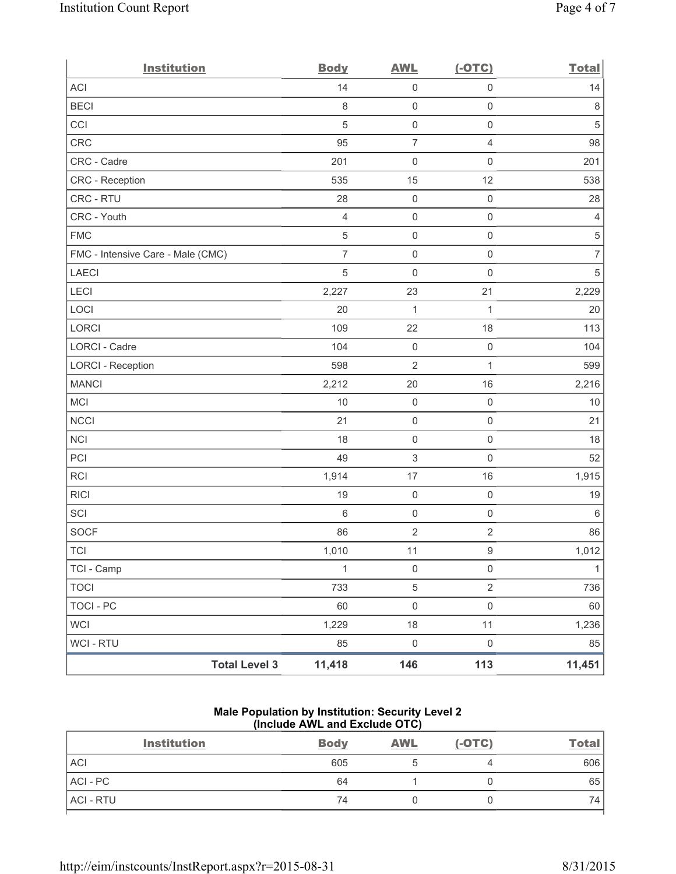| <b>Institution</b>                | <b>Body</b>    | <b>AWL</b>          | $(-OTC)$            | <b>Total</b>   |
|-----------------------------------|----------------|---------------------|---------------------|----------------|
| ACI                               | 14             | $\mathsf 0$         | $\mathsf{O}\xspace$ | 14             |
| <b>BECI</b>                       | 8              | $\mathsf{O}\xspace$ | $\mathsf{O}\xspace$ | 8              |
| CCI                               | 5              | $\mathbf 0$         | $\mathsf 0$         | 5              |
| CRC                               | 95             | $\overline{7}$      | $\overline{4}$      | 98             |
| CRC - Cadre                       | 201            | $\mathsf{O}\xspace$ | $\mathsf{O}\xspace$ | 201            |
| CRC - Reception                   | 535            | 15                  | 12                  | 538            |
| CRC - RTU                         | 28             | $\mathsf{O}\xspace$ | $\mathsf{O}\xspace$ | 28             |
| CRC - Youth                       | $\overline{4}$ | $\mathbf 0$         | $\mathsf{O}\xspace$ | $\overline{4}$ |
| <b>FMC</b>                        | $\sqrt{5}$     | $\mathbf 0$         | $\mathsf{O}\xspace$ | $\,$ 5 $\,$    |
| FMC - Intensive Care - Male (CMC) | $\overline{7}$ | $\mathsf{O}\xspace$ | $\mathsf 0$         | $\overline{7}$ |
| <b>LAECI</b>                      | $\overline{5}$ | $\mathsf{O}\xspace$ | $\mathsf{O}\xspace$ | $\sqrt{5}$     |
| LECI                              | 2,227          | 23                  | 21                  | 2,229          |
| LOCI                              | 20             | $\mathbf{1}$        | $\mathbf{1}$        | 20             |
| LORCI                             | 109            | 22                  | 18                  | 113            |
| LORCI - Cadre                     | 104            | $\mathsf{O}\xspace$ | $\mathsf{O}\xspace$ | 104            |
| <b>LORCI - Reception</b>          | 598            | $\overline{2}$      | $\mathbf{1}$        | 599            |
| <b>MANCI</b>                      | 2,212          | 20                  | 16                  | 2,216          |
| MCI                               | 10             | $\mathsf{O}\xspace$ | $\mathsf 0$         | 10             |
| <b>NCCI</b>                       | 21             | $\mathbf 0$         | $\mathsf{O}\xspace$ | 21             |
| NCI                               | 18             | $\mathsf{O}\xspace$ | $\mathsf 0$         | 18             |
| PCI                               | 49             | $\mathsf 3$         | $\mathsf{O}\xspace$ | 52             |
| RCI                               | 1,914          | 17                  | 16                  | 1,915          |
| <b>RICI</b>                       | 19             | $\mathbf 0$         | $\mathsf{O}\xspace$ | 19             |
| SCI                               | 6              | $\mathbf 0$         | $\mathsf{O}\xspace$ | 6              |
| <b>SOCF</b>                       | 86             | $\mathbf 2$         | $\sqrt{2}$          | 86             |
| <b>TCI</b>                        | 1,010          | 11                  | $\hbox{9}$          | 1,012          |
| TCI - Camp                        | $\mathbf{1}$   | $\mathsf 0$         | $\mathsf{O}\xspace$ | $\mathbf{1}$   |
| <b>TOCI</b>                       | 733            | $\,$ 5 $\,$         | $\overline{2}$      | 736            |
| <b>TOCI - PC</b>                  | 60             | $\mathsf{O}\xspace$ | $\mathsf{O}\xspace$ | 60             |
| <b>WCI</b>                        | 1,229          | 18                  | 11                  | 1,236          |
| WCI - RTU                         | 85             | $\mathsf{O}\xspace$ | $\mathsf{O}\xspace$ | 85             |
| <b>Total Level 3</b>              | 11,418         | 146                 | 113                 | 11,451         |

## **Male Population by Institution: Security Level 2 (Include AWL and Exclude OTC)**

|           | <b>Institution</b> | <b>Body</b> | <b>AWL</b> | $(-OTC)$ | <b>Total</b> |
|-----------|--------------------|-------------|------------|----------|--------------|
| ACI       |                    | 605         |            |          | 606          |
| ACI-PC    |                    | 64          |            |          | 65           |
| ACI - RTU |                    | 74          |            |          | 74           |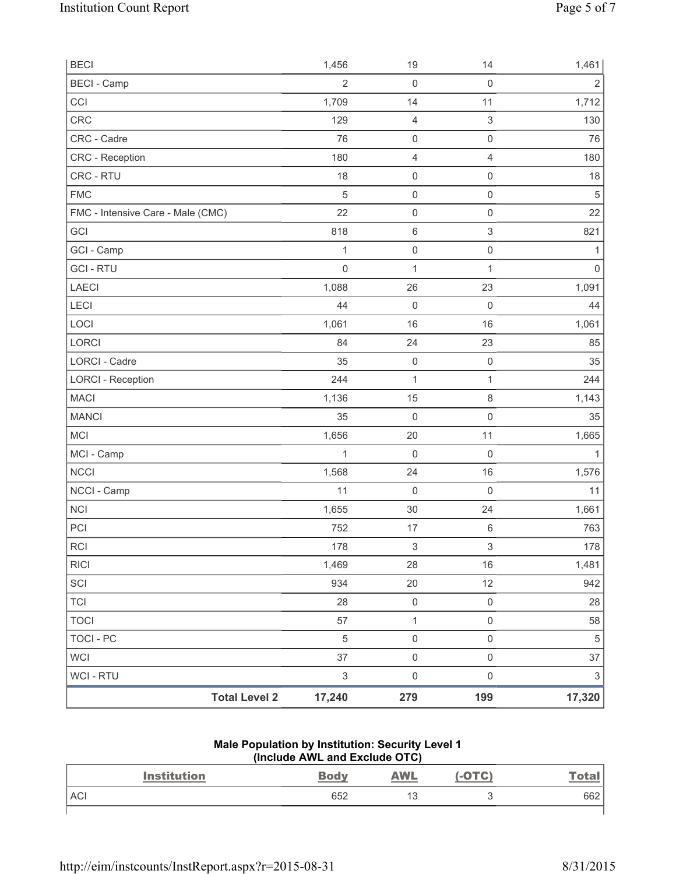| <b>BECI</b>                       |                      | 1,456                     | 19                  | 14                        | 1,461                     |
|-----------------------------------|----------------------|---------------------------|---------------------|---------------------------|---------------------------|
| <b>BECI</b> - Camp                |                      | 2                         | $\mathbf 0$         | $\mathbf 0$               | $\overline{2}$            |
| CCI                               |                      | 1,709                     | 14                  | 11                        | 1,712                     |
| CRC                               |                      | 129                       | $\overline{4}$      | 3                         | 130                       |
| CRC - Cadre                       |                      | 76                        | $\mathsf{O}\xspace$ | $\mathsf{O}\xspace$       | 76                        |
| CRC - Reception                   |                      | 180                       | $\overline{4}$      | 4                         | 180                       |
| CRC - RTU                         |                      | 18                        | $\mathsf{O}\xspace$ | $\mathsf 0$               | 18                        |
| <b>FMC</b>                        |                      | 5                         | $\mathsf{O}\xspace$ | $\mathsf{O}\xspace$       | $\sqrt{5}$                |
| FMC - Intensive Care - Male (CMC) |                      | 22                        | $\mathsf{O}\xspace$ | $\mathsf{O}\xspace$       | 22                        |
| GCI                               |                      | 818                       | $\,6\,$             | $\ensuremath{\mathsf{3}}$ | 821                       |
| GCI - Camp                        |                      | $\mathbf{1}$              | $\mathsf{O}\xspace$ | $\mathsf{O}\xspace$       | 1                         |
| <b>GCI-RTU</b>                    |                      | $\mathbf 0$               | $\mathbf 1$         | 1                         | $\mathsf{O}\xspace$       |
| <b>LAECI</b>                      |                      | 1,088                     | 26                  | 23                        | 1,091                     |
| LECI                              |                      | 44                        | $\mathsf{O}\xspace$ | $\mathsf{O}\xspace$       | 44                        |
| LOCI                              |                      | 1,061                     | 16                  | 16                        | 1,061                     |
| LORCI                             |                      | 84                        | 24                  | 23                        | 85                        |
| LORCI - Cadre                     |                      | 35                        | $\mathsf{O}\xspace$ | $\mathsf 0$               | 35                        |
| <b>LORCI - Reception</b>          |                      | 244                       | $\mathbf{1}$        | 1                         | 244                       |
| <b>MACI</b>                       |                      | 1,136                     | 15                  | $\,8\,$                   | 1,143                     |
| <b>MANCI</b>                      |                      | 35                        | $\mathsf{O}\xspace$ | $\mathsf{O}\xspace$       | 35                        |
| <b>MCI</b>                        |                      | 1,656                     | 20                  | 11                        | 1,665                     |
| MCI - Camp                        |                      | $\mathbf{1}$              | $\mathbf 0$         | $\mathbf 0$               | $\mathbf{1}$              |
| <b>NCCI</b>                       |                      | 1,568                     | 24                  | 16                        | 1,576                     |
| NCCI - Camp                       |                      | 11                        | $\mathsf{O}\xspace$ | $\mathsf 0$               | 11                        |
| NCI                               |                      | 1,655                     | 30                  | 24                        | 1,661                     |
| PCI                               |                      | 752                       | 17                  | $\,6$                     | 763                       |
| <b>RCI</b>                        |                      | 178                       | $\,$ 3 $\,$         | 3                         | 178                       |
| <b>RICI</b>                       |                      | 1,469                     | 28                  | 16                        | 1,481                     |
| SCI                               |                      | 934                       | 20                  | 12                        | 942                       |
| <b>TCI</b>                        |                      | 28                        | $\mathbf 0$         | $\mathsf{O}\xspace$       | 28                        |
| <b>TOCI</b>                       |                      | 57                        | $\mathbf{1}$        | $\mathsf{O}\xspace$       | 58                        |
| <b>TOCI - PC</b>                  |                      | 5                         | $\mathsf{O}\xspace$ | $\mathsf{O}\xspace$       | $\sqrt{5}$                |
| WCI                               |                      | 37                        | $\mathsf{O}\xspace$ | $\mathsf{O}\xspace$       | 37                        |
| <b>WCI-RTU</b>                    |                      | $\ensuremath{\mathsf{3}}$ | $\mathsf{O}\xspace$ | $\mathsf{O}\xspace$       | $\ensuremath{\mathsf{3}}$ |
|                                   | <b>Total Level 2</b> | 17,240                    | 279                 | 199                       | 17,320                    |

#### **Male Population by Institution: Security Level 1 (Include AWL and Exclude OTC)**

| <b>Institution</b> | <b>Body</b> | <b>AWL</b> | <b>(-OTC)</b> | <u>Total</u> |
|--------------------|-------------|------------|---------------|--------------|
| <b>ACI</b>         | 652         | 13         |               | 662          |
|                    |             |            |               |              |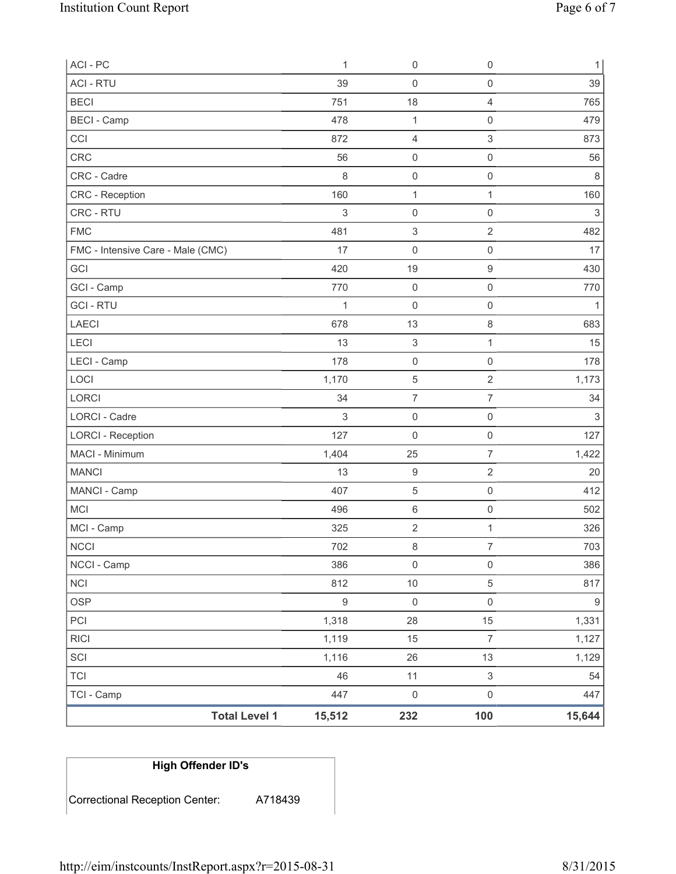| ACI - PC                          | 1           | $\mathsf{O}\xspace$       | $\mathsf 0$               | $\mathbf{1}$              |
|-----------------------------------|-------------|---------------------------|---------------------------|---------------------------|
| <b>ACI - RTU</b>                  | 39          | 0                         | $\mathsf{O}\xspace$       | 39                        |
| <b>BECI</b>                       | 751         | 18                        | $\overline{4}$            | 765                       |
| <b>BECI - Camp</b>                | 478         | $\mathbf{1}$              | $\mathsf{O}\xspace$       | 479                       |
| CCI                               | 872         | 4                         | 3                         | 873                       |
| CRC                               | 56          | 0                         | $\mathsf 0$               | 56                        |
| CRC - Cadre                       | 8           | 0                         | $\mathsf{O}\xspace$       | 8                         |
| CRC - Reception                   | 160         | 1                         | $\mathbf{1}$              | 160                       |
| CRC - RTU                         | 3           | 0                         | $\mathsf{O}\xspace$       | $\ensuremath{\mathsf{3}}$ |
| <b>FMC</b>                        | 481         | $\ensuremath{\mathsf{3}}$ | $\overline{2}$            | 482                       |
| FMC - Intensive Care - Male (CMC) | 17          | 0                         | $\mathsf 0$               | 17                        |
| GCI                               | 420         | 19                        | $\boldsymbol{9}$          | 430                       |
| GCI - Camp                        | 770         | 0                         | $\mathsf{O}\xspace$       | 770                       |
| <b>GCI-RTU</b>                    | 1           | 0                         | $\mathsf 0$               | $\mathbf{1}$              |
| <b>LAECI</b>                      | 678         | 13                        | $\,8\,$                   | 683                       |
| LECI                              | 13          | $\ensuremath{\mathsf{3}}$ | 1                         | 15                        |
| LECI - Camp                       | 178         | $\mathsf{O}\xspace$       | $\mathbf 0$               | 178                       |
| LOCI                              | 1,170       | 5                         | 2                         | 1,173                     |
| LORCI                             | 34          | $\overline{7}$            | $\overline{7}$            | 34                        |
| LORCI - Cadre                     | $\sqrt{3}$  | $\mathsf 0$               | $\mathsf{O}\xspace$       | 3                         |
| <b>LORCI - Reception</b>          | 127         | $\mathsf{O}\xspace$       | $\mathsf 0$               | 127                       |
| MACI - Minimum                    | 1,404       | 25                        | $\overline{7}$            | 1,422                     |
| <b>MANCI</b>                      | 13          | $\boldsymbol{9}$          | $\overline{2}$            | 20                        |
| MANCI - Camp                      | 407         | $\,$ 5 $\,$               | $\mathbf 0$               | 412                       |
| <b>MCI</b>                        | 496         | 6                         | $\mathsf{O}\xspace$       | 502                       |
| MCI - Camp                        | 325         | $\sqrt{2}$                | $\mathbf{1}$              | 326                       |
| <b>NCCI</b>                       | 702         | 8                         | $\overline{7}$            | 703                       |
| NCCI - Camp                       | 386         | $\mathsf{O}\xspace$       | $\mathsf{O}\xspace$       | 386                       |
| NCI                               | 812         | $10$                      | $\,$ 5 $\,$               | 817                       |
| <b>OSP</b>                        | $\mathsf g$ | $\mathsf{O}\xspace$       | $\mathsf{O}\xspace$       | $\boldsymbol{9}$          |
| PCI                               | 1,318       | 28                        | 15                        | 1,331                     |
| RICI                              | 1,119       | 15                        | $\overline{7}$            | 1,127                     |
| SCI                               | 1,116       | 26                        | 13                        | 1,129                     |
| <b>TCI</b>                        | 46          | 11                        | $\ensuremath{\mathsf{3}}$ | 54                        |
| TCI - Camp                        | 447         | $\mathsf{O}\xspace$       | $\mathsf{O}\xspace$       | 447                       |
| <b>Total Level 1</b>              | 15,512      | 232                       | 100                       | 15,644                    |

| <b>High Offender ID's</b>      |         |
|--------------------------------|---------|
| Correctional Reception Center: | A718439 |